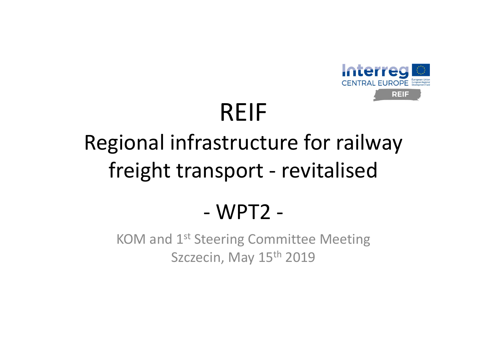

# REIF

### Regional infrastructure for railway freight transport ‐ revitalised

#### ‐WPT2 ‐

KOM and 1<sup>st</sup> Steering Committee Meeting Szczecin, May 15<sup>th</sup> 2019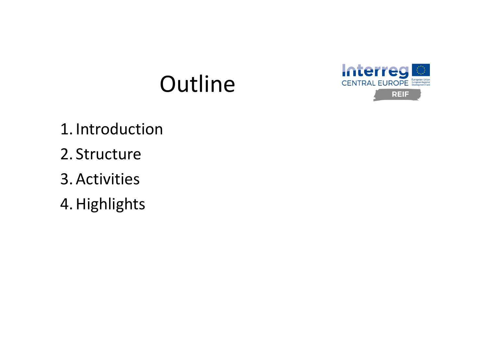#### Outline



- 1. Introduction
- 2. Structure
- 3. Activities
- 4. Highlights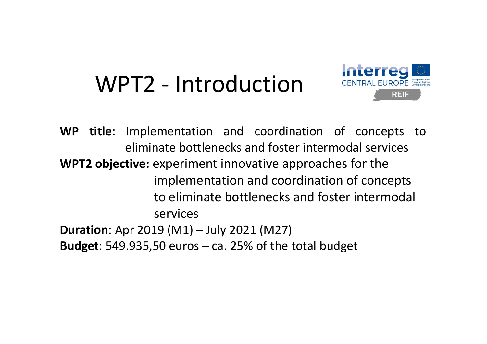#### WPT2 ‐ Introduction



**WP title**: Implementation and coordination of concepts to eliminate bottlenecks and foster intermodal services**WPT2 objective:** experiment innovative approaches for the implementation and coordination of concepts to eliminate bottlenecks and foster intermodal services**Duration**: Apr 2019 (M1) – July 2021 (M27) **Budget**: 549.935,50 euros – ca. 25% of the total budget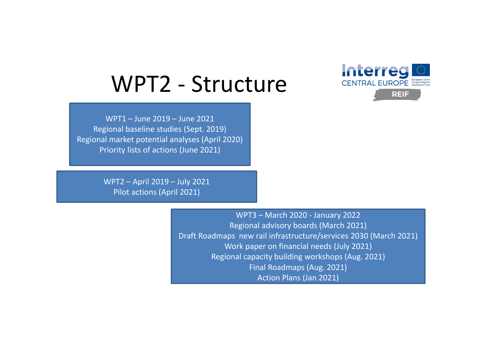

#### WPT2 ‐ Structure

WPT1 – June 2019 – June 2021 Regional baseline studies (Sept. 2019) Regional market potential analyses (April 2020) Priority lists of actions (June 2021)

> WPT2 – April 2019 – July 2021 Pilot actions (April 2021)

> > WPT3 – March 2020 ‐ January 2022 Regional advisory boards (March 2021) Draft Roadmaps new rail infrastructure/services 2030 (March 2021) Work paper on financial needs (July 2021) Regional capacity building workshops (Aug. 2021) Final Roadmaps (Aug. 2021) Action Plans (Jan 2021)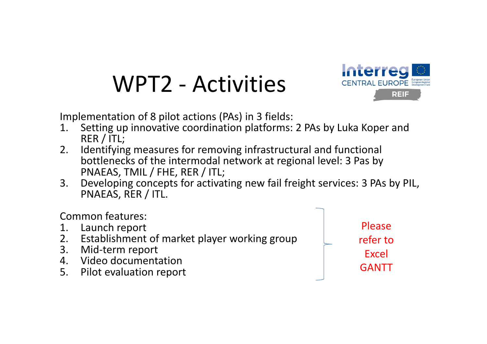### WPT2 ‐ Activities



Implementation of 8 pilot actions (PAs) in 3 fields:

- 1. Setting up innovative coordination platforms: 2 PAs by Luka Koper and RER / ITL;
- 2. Identifying measures for removing infrastructural and functional bottlenecks of the intermodal network at regional level: 3 Pas by PNAEAS, TMIL / FHE, RER / ITL;
- 3. Developing concepts for activating new fail freight services: 3 PAs by PIL, PNAEAS, RER / ITL.

Common features:

- 1. Launch report
- 2. Establishment of market player working group
- 3. Mid‐term report
- 4. Video documentation
- 5. Pilot evaluation report

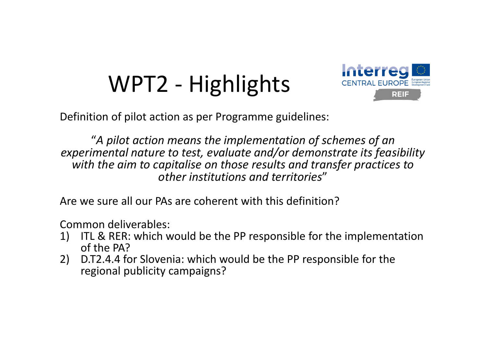## WPT2 ‐ Highlights



Definition of pilot action as per Programme guidelines:

"*A pilot action means the implementation of schemes of an experimental nature to test, evaluate and/or demonstrate its feasibility with the aim to capitalise on those results and transfer practices to other institutions and territories*"

Are we sure all our PAs are coherent with this definition?

Common deliverables:

- 1) ITL & RER: which would be the PP responsible for the implementation of the PA?
- 2) D.T2.4.4 for Slovenia: which would be the PP responsible for the regional publicity campaigns?